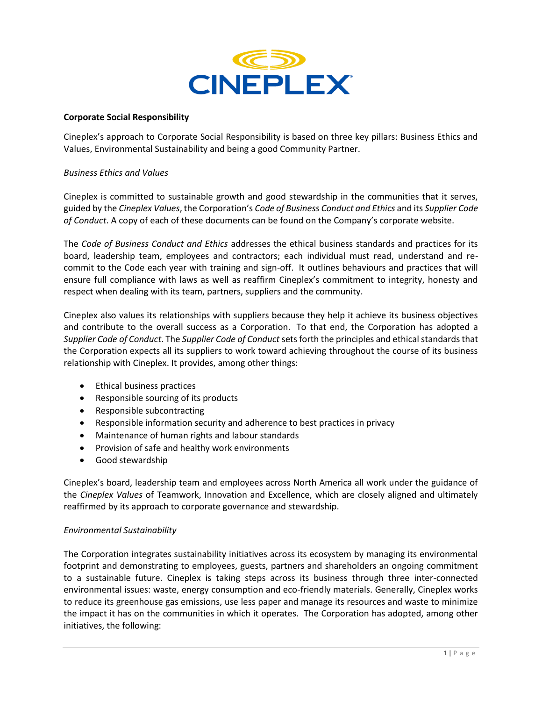

## **Corporate Social Responsibility**

Cineplex's approach to Corporate Social Responsibility is based on three key pillars: Business Ethics and Values, Environmental Sustainability and being a good Community Partner.

## *Business Ethics and Values*

Cineplex is committed to sustainable growth and good stewardship in the communities that it serves, guided by the *Cineplex Values*, the Corporation's *Code of Business Conduct and Ethics* and its *Supplier Code of Conduct*. A copy of each of these documents can be found on the Company's corporate website.

The *Code of Business Conduct and Ethics* addresses the ethical business standards and practices for its board, leadership team, employees and contractors; each individual must read, understand and recommit to the Code each year with training and sign-off. It outlines behaviours and practices that will ensure full compliance with laws as well as reaffirm Cineplex's commitment to integrity, honesty and respect when dealing with its team, partners, suppliers and the community.

Cineplex also values its relationships with suppliers because they help it achieve its business objectives and contribute to the overall success as a Corporation. To that end, the Corporation has adopted a *Supplier Code of Conduct*. The *Supplier Code of Conduct* sets forth the principles and ethical standards that the Corporation expects all its suppliers to work toward achieving throughout the course of its business relationship with Cineplex. It provides, among other things:

- Ethical business practices
- Responsible sourcing of its products
- Responsible subcontracting
- Responsible information security and adherence to best practices in privacy
- Maintenance of human rights and labour standards
- Provision of safe and healthy work environments
- Good stewardship

Cineplex's board, leadership team and employees across North America all work under the guidance of the *Cineplex Values* of Teamwork, Innovation and Excellence, which are closely aligned and ultimately reaffirmed by its approach to corporate governance and stewardship.

## *Environmental Sustainability*

The Corporation integrates sustainability initiatives across its ecosystem by managing its environmental footprint and demonstrating to employees, guests, partners and shareholders an ongoing commitment to a sustainable future. Cineplex is taking steps across its business through three inter-connected environmental issues: waste, energy consumption and eco-friendly materials. Generally, Cineplex works to reduce its greenhouse gas emissions, use less paper and manage its resources and waste to minimize the impact it has on the communities in which it operates. The Corporation has adopted, among other initiatives, the following: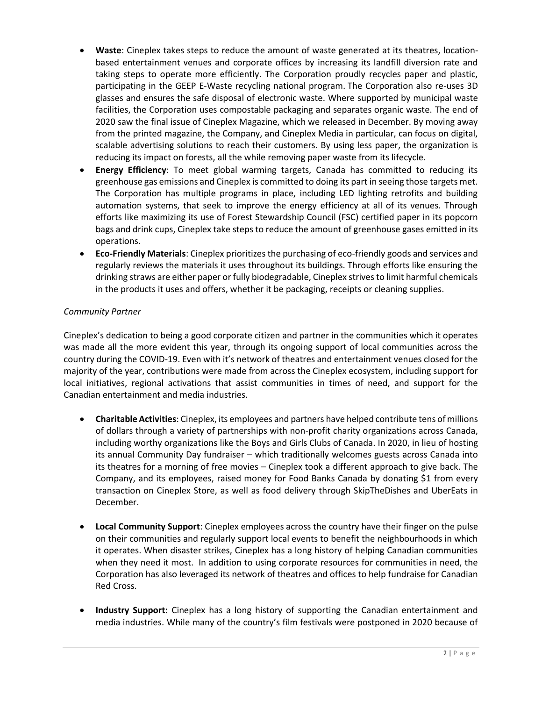- **Waste**: Cineplex takes steps to reduce the amount of waste generated at its theatres, locationbased entertainment venues and corporate offices by increasing its landfill diversion rate and taking steps to operate more efficiently. The Corporation proudly recycles paper and plastic, participating in the GEEP E-Waste recycling national program. The Corporation also re-uses 3D glasses and ensures the safe disposal of electronic waste. Where supported by municipal waste facilities, the Corporation uses compostable packaging and separates organic waste. The end of 2020 saw the final issue of Cineplex Magazine, which we released in December. By moving away from the printed magazine, the Company, and Cineplex Media in particular, can focus on digital, scalable advertising solutions to reach their customers. By using less paper, the organization is reducing its impact on forests, all the while removing paper waste from its lifecycle.
- **Energy Efficiency**: To meet global warming targets, Canada has committed to reducing its greenhouse gas emissions and Cineplex is committed to doing its part in seeing those targets met. The Corporation has multiple programs in place, including LED lighting retrofits and building automation systems, that seek to improve the energy efficiency at all of its venues. Through efforts like maximizing its use of Forest Stewardship Council (FSC) certified paper in its popcorn bags and drink cups, Cineplex take steps to reduce the amount of greenhouse gases emitted in its operations.
- **Eco-Friendly Materials**: Cineplex prioritizes the purchasing of eco-friendly goods and services and regularly reviews the materials it uses throughout its buildings. Through efforts like ensuring the drinking straws are either paper or fully biodegradable, Cineplex strives to limit harmful chemicals in the products it uses and offers, whether it be packaging, receipts or cleaning supplies.

## *Community Partner*

Cineplex's dedication to being a good corporate citizen and partner in the communities which it operates was made all the more evident this year, through its ongoing support of local communities across the country during the COVID-19. Even with it's network of theatres and entertainment venues closed for the majority of the year, contributions were made from across the Cineplex ecosystem, including support for local initiatives, regional activations that assist communities in times of need, and support for the Canadian entertainment and media industries.

- **Charitable Activities**: Cineplex, its employees and partners have helped contribute tens of millions of dollars through a variety of partnerships with non-profit charity organizations across Canada, including worthy organizations like the Boys and Girls Clubs of Canada. In 2020, in lieu of hosting its annual Community Day fundraiser – which traditionally welcomes guests across Canada into its theatres for a morning of free movies – Cineplex took a different approach to give back. The Company, and its employees, raised money for Food Banks Canada by donating \$1 from every transaction on Cineplex Store, as well as food delivery through SkipTheDishes and UberEats in December.
- **Local Community Support**: Cineplex employees across the country have their finger on the pulse on their communities and regularly support local events to benefit the neighbourhoods in which it operates. When disaster strikes, Cineplex has a long history of helping Canadian communities when they need it most. In addition to using corporate resources for communities in need, the Corporation has also leveraged its network of theatres and offices to help fundraise for Canadian Red Cross.
- **Industry Support:** Cineplex has a long history of supporting the Canadian entertainment and media industries. While many of the country's film festivals were postponed in 2020 because of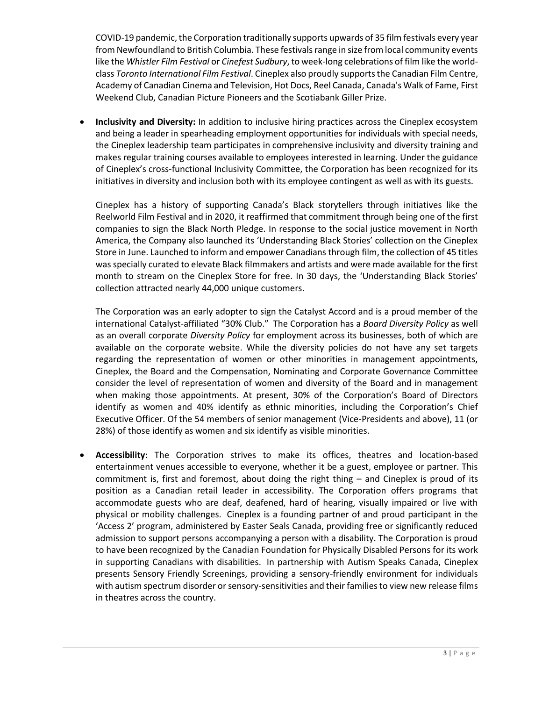COVID-19 pandemic, the Corporation traditionally supports upwards of 35 film festivals every year from Newfoundland to British Columbia. These festivals range in size from local community events like the *Whistler Film Festival* or *Cinefest Sudbury*, to week-long celebrations of film like the worldclass *Toronto International Film Festival*. Cineplex also proudly supports the Canadian Film Centre, Academy of Canadian Cinema and Television, Hot Docs, Reel Canada, Canada's Walk of Fame, First Weekend Club, Canadian Picture Pioneers and the Scotiabank Giller Prize.

• **Inclusivity and Diversity:** In addition to inclusive hiring practices across the Cineplex ecosystem and being a leader in spearheading employment opportunities for individuals with special needs, the Cineplex leadership team participates in comprehensive inclusivity and diversity training and makes regular training courses available to employees interested in learning. Under the guidance of Cineplex's cross-functional Inclusivity Committee, the Corporation has been recognized for its initiatives in diversity and inclusion both with its employee contingent as well as with its guests.

Cineplex has a history of supporting Canada's Black storytellers through initiatives like the Reelworld Film Festival and in 2020, it reaffirmed that commitment through being one of the first companies to sign the Black North Pledge. In response to the social justice movement in North America, the Company also launched its 'Understanding Black Stories' collection on the Cineplex Store in June. Launched to inform and empower Canadians through film, the collection of 45 titles was specially curated to elevate Black filmmakers and artists and were made available for the first month to stream on the Cineplex Store for free. In 30 days, the 'Understanding Black Stories' collection attracted nearly 44,000 unique customers.

The Corporation was an early adopter to sign the Catalyst Accord and is a proud member of the international Catalyst-affiliated "30% Club." The Corporation has a *Board Diversity Policy* as well as an overall corporate *Diversity Policy* for employment across its businesses, both of which are available on the corporate website. While the diversity policies do not have any set targets regarding the representation of women or other minorities in management appointments, Cineplex, the Board and the Compensation, Nominating and Corporate Governance Committee consider the level of representation of women and diversity of the Board and in management when making those appointments. At present, 30% of the Corporation's Board of Directors identify as women and 40% identify as ethnic minorities, including the Corporation's Chief Executive Officer. Of the 54 members of senior management (Vice-Presidents and above), 11 (or 28%) of those identify as women and six identify as visible minorities.

• **Accessibility**: The Corporation strives to make its offices, theatres and location-based entertainment venues accessible to everyone, whether it be a guest, employee or partner. This commitment is, first and foremost, about doing the right thing – and Cineplex is proud of its position as a Canadian retail leader in accessibility. The Corporation offers programs that accommodate guests who are deaf, deafened, hard of hearing, visually impaired or live with physical or mobility challenges. Cineplex is a founding partner of and proud participant in the 'Access 2' program, administered by Easter Seals Canada, providing free or significantly reduced admission to support persons accompanying a person with a disability. The Corporation is proud to have been recognized by the Canadian Foundation for Physically Disabled Persons for its work in supporting Canadians with disabilities. In partnership with Autism Speaks Canada, Cineplex presents Sensory Friendly Screenings, providing a sensory-friendly environment for individuals with autism spectrum disorder or sensory-sensitivities and their families to view new release films in theatres across the country.